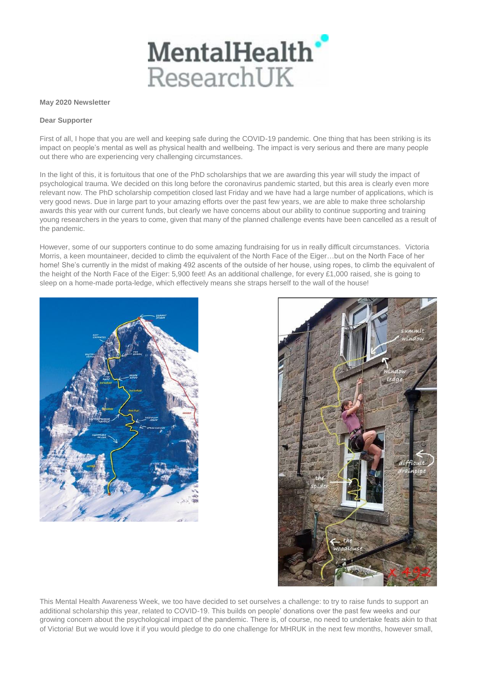

## **May 2020 Newsletter**

## **Dear Supporter**

First of all, I hope that you are well and keeping safe during the COVID-19 pandemic. One thing that has been striking is its impact on people's mental as well as physical health and wellbeing. The impact is very serious and there are many people out there who are experiencing very challenging circumstances.

In the light of this, it is fortuitous that one of the PhD scholarships that we are awarding this year will study the impact of psychological trauma. We decided on this long before the coronavirus pandemic started, but this area is clearly even more relevant now. The PhD scholarship competition closed last Friday and we have had a large number of applications, which is very good news. Due in large part to your amazing efforts over the past few years, we are able to make three scholarship awards this year with our current funds, but clearly we have concerns about our ability to continue supporting and training young researchers in the years to come, given that many of the planned challenge events have been cancelled as a result of the pandemic.

However, some of our supporters continue to do some amazing fundraising for us in really difficult circumstances. Victoria Morris, a keen mountaineer, decided to climb the equivalent of the North Face of the Eiger…but on the North Face of her home! She's currently in the midst of making 492 ascents of the outside of her house, using ropes, to climb the equivalent of the height of the North Face of the Eiger: 5,900 feet! As an additional challenge, for every £1,000 raised, she is going to sleep on a home-made porta-ledge, which effectively means she straps herself to the wall of the house!





This Mental Health Awareness Week, we too have decided to set ourselves a challenge: to try to raise funds to support an additional scholarship this year, related to COVID-19. This builds on people' donations over the past few weeks and our growing concern about the psychological impact of the pandemic. There is, of course, no need to undertake feats akin to that of Victoria! But we would love it if you would pledge to do one challenge for MHRUK in the next few months, however small,